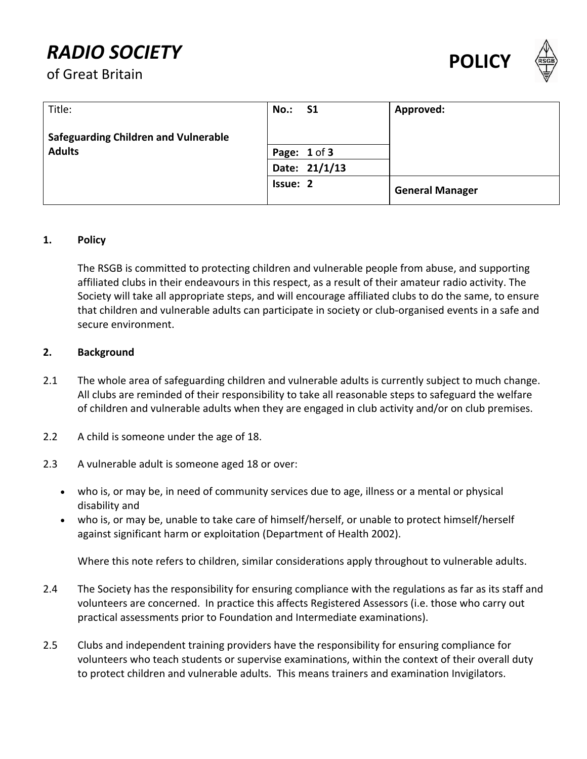# **POLICY**<br> **POLIC**<br> **POLIC**<br> **POLIC**





| Title:                                      | <b>No.: S1</b>  |               | Approved:              |
|---------------------------------------------|-----------------|---------------|------------------------|
| <b>Safeguarding Children and Vulnerable</b> |                 |               |                        |
| <b>Adults</b>                               |                 | Page: 1 of 3  |                        |
|                                             |                 | Date: 21/1/13 |                        |
|                                             | <b>Issue: 2</b> |               | <b>General Manager</b> |

#### **1. Policy**

The RSGB is committed to protecting children and vulnerable people from abuse, and supporting affiliated clubs in their endeavours in this respect, as a result of their amateur radio activity. The Society will take all appropriate steps, and will encourage affiliated clubs to do the same, to ensure that children and vulnerable adults can participate in society or club‐organised events in a safe and secure environment.

#### **2. Background**

- 2.1 The whole area of safeguarding children and vulnerable adults is currently subject to much change. All clubs are reminded of their responsibility to take all reasonable steps to safeguard the welfare of children and vulnerable adults when they are engaged in club activity and/or on club premises.
- 2.2 A child is someone under the age of 18.
- 2.3 A vulnerable adult is someone aged 18 or over:
	- who is, or may be, in need of community services due to age, illness or a mental or physical disability and
	- who is, or may be, unable to take care of himself/herself, or unable to protect himself/herself against significant harm or exploitation (Department of Health 2002).

Where this note refers to children, similar considerations apply throughout to vulnerable adults.

- 2.4 The Society has the responsibility for ensuring compliance with the regulations as far as its staff and volunteers are concerned. In practice this affects Registered Assessors (i.e. those who carry out practical assessments prior to Foundation and Intermediate examinations).
- 2.5 Clubs and independent training providers have the responsibility for ensuring compliance for volunteers who teach students or supervise examinations, within the context of their overall duty to protect children and vulnerable adults. This means trainers and examination Invigilators.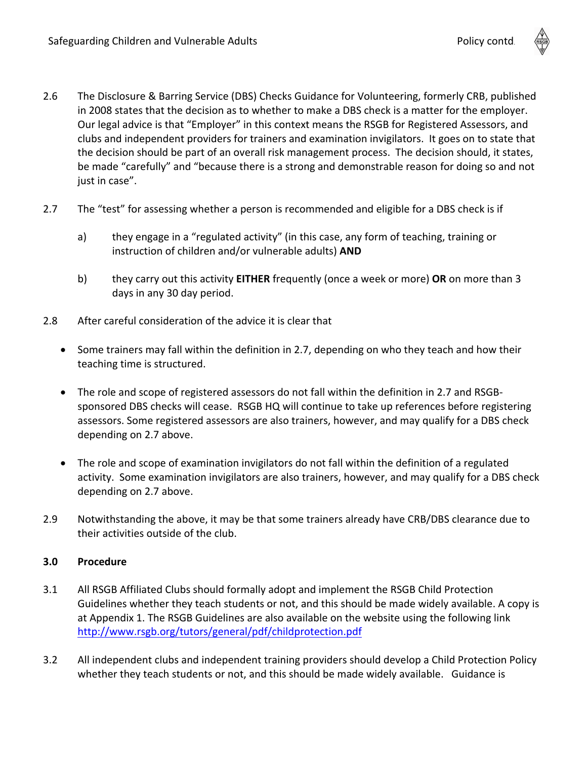- 2.6 The Disclosure & Barring Service (DBS) Checks Guidance for Volunteering, formerly CRB, published in 2008 states that the decision as to whether to make a DBS check is a matter for the employer. Our legal advice is that "Employer" in this context means the RSGB for Registered Assessors, and clubs and independent providers for trainers and examination invigilators. It goes on to state that the decision should be part of an overall risk management process. The decision should, it states, be made "carefully" and "because there is a strong and demonstrable reason for doing so and not just in case".
- 2.7 The "test" for assessing whether a person is recommended and eligible for a DBS check is if
	- a) they engage in a "regulated activity" (in this case, any form of teaching, training or instruction of children and/or vulnerable adults) **AND**
	- b) they carry out this activity **EITHER** frequently (once a week or more) **OR** on more than 3 days in any 30 day period.
- 2.8 After careful consideration of the advice it is clear that
	- Some trainers may fall within the definition in 2.7, depending on who they teach and how their teaching time is structured.
	- The role and scope of registered assessors do not fall within the definition in 2.7 and RSGBsponsored DBS checks will cease. RSGB HQ will continue to take up references before registering assessors. Some registered assessors are also trainers, however, and may qualify for a DBS check depending on 2.7 above.
	- The role and scope of examination invigilators do not fall within the definition of a regulated activity. Some examination invigilators are also trainers, however, and may qualify for a DBS check depending on 2.7 above.
- 2.9 Notwithstanding the above, it may be that some trainers already have CRB/DBS clearance due to their activities outside of the club.

#### **3.0 Procedure**

- 3.1 All RSGB Affiliated Clubs should formally adopt and implement the RSGB Child Protection Guidelines whether they teach students or not, and this should be made widely available. A copy is at Appendix 1. The RSGB Guidelines are also available on the website using the following link <http://www.rsgb.org/tutors/general/pdf/childprotection.pdf>
- 3.2 All independent clubs and independent training providers should develop a Child Protection Policy whether they teach students or not, and this should be made widely available. Guidance is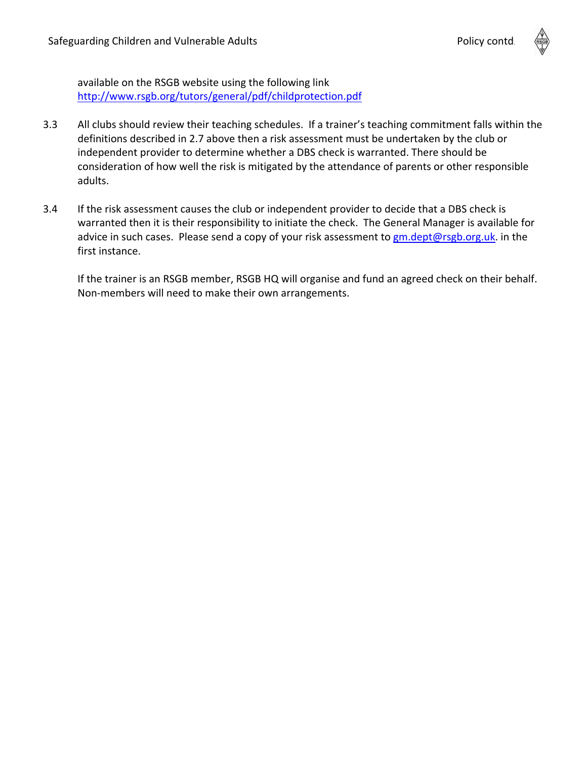

available on the RSGB website using the following link <http://www.rsgb.org/tutors/general/pdf/childprotection.pdf>

- 3.3 All clubs should review their teaching schedules. If a trainer's teaching commitment falls within the definitions described in 2.7 above then a risk assessment must be undertaken by the club or independent provider to determine whether a DBS check is warranted. There should be consideration of how well the risk is mitigated by the attendance of parents or other responsible adults.
- 3.4 If the risk assessment causes the club or independent provider to decide that a DBS check is warranted then it is their responsibility to initiate the check. The General Manager is available for advice in such cases. Please send a copy of your risk assessment to [gm.dept@rsgb.org.uk.](mailto:gm.dept@rsgb.org.uk) in the first instance.

If the trainer is an RSGB member, RSGB HQ will organise and fund an agreed check on their behalf. Non‐members will need to make their own arrangements.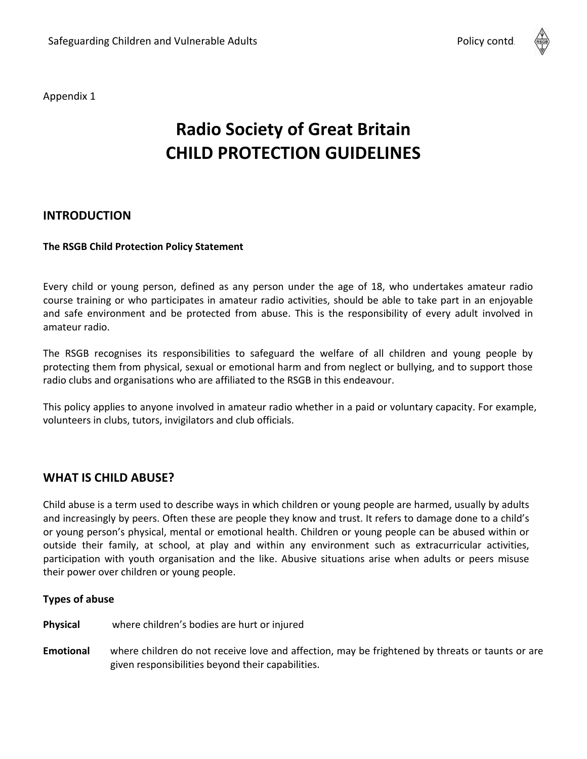

Appendix 1

## **Radio Society of Great Britain CHILD PROTECTION GUIDELINES**

#### **INTRODUCTION**

#### **The RSGB Child Protection Policy Statement**

Every child or young person, defined as any person under the age of 18, who undertakes amateur radio course training or who participates in amateur radio activities, should be able to take part in an enjoyable and safe environment and be protected from abuse. This is the responsibility of every adult involved in amateur radio.

The RSGB recognises its responsibilities to safeguard the welfare of all children and young people by protecting them from physical, sexual or emotional harm and from neglect or bullying, and to support those radio clubs and organisations who are affiliated to the RSGB in this endeavour.

This policy applies to anyone involved in amateur radio whether in a paid or voluntary capacity. For example, volunteers in clubs, tutors, invigilators and club officials.

#### **WHAT IS CHILD ABUSE?**

Child abuse is a term used to describe ways in which children or young people are harmed, usually by adults and increasingly by peers. Often these are people they know and trust. It refers to damage done to a child's or young person's physical, mental or emotional health. Children or young people can be abused within or outside their family, at school, at play and within any environment such as extracurricular activities, participation with youth organisation and the like. Abusive situations arise when adults or peers misuse their power over children or young people.

#### **Types of abuse**

**Physical**  where children's bodies are hurt or injured

**Emotional**  where children do not receive love and affection, may be frightened by threats or taunts or are given responsibilities beyond their capabilities.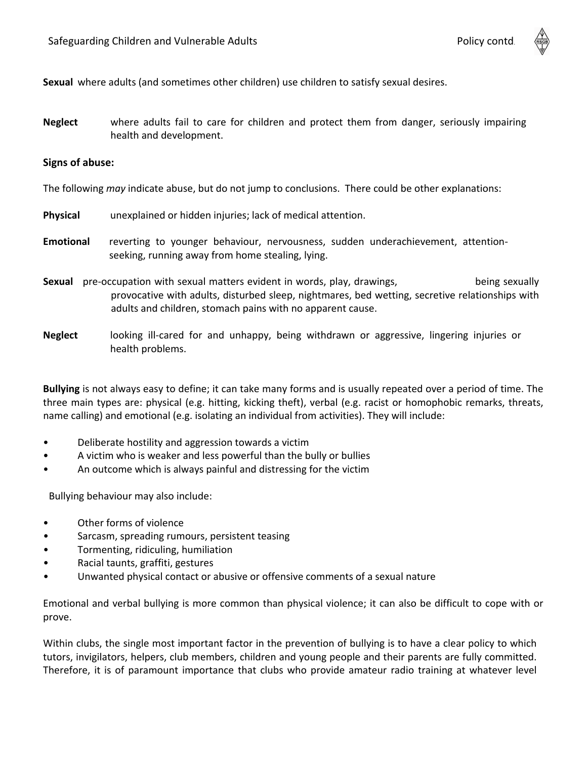

**Sexual** where adults (and sometimes other children) use children to satisfy sexual desires.

**Neglect** where adults fail to care for children and protect them from danger, seriously impairing health and development.

#### **Signs of abuse:**

The following *may* indicate abuse, but do not jump to conclusions. There could be other explanations:

- **Physical**  unexplained or hidden injuries; lack of medical attention.
- **Emotional** reverting to younger behaviour, nervousness, sudden underachievement, attentionseeking, running away from home stealing, lying.
- **Sexual** pre-occupation with sexual matters evident in words, play, drawings, entitled theing sexually provocative with adults, disturbed sleep, nightmares, bed wetting, secretive relationships with adults and children, stomach pains with no apparent cause.
- **Neglect**  looking ill‐cared for and unhappy, being withdrawn or aggressive, lingering injuries or health problems.

**Bullying** is not always easy to define; it can take many forms and is usually repeated over a period of time. The three main types are: physical (e.g. hitting, kicking theft), verbal (e.g. racist or homophobic remarks, threats, name calling) and emotional (e.g. isolating an individual from activities). They will include:

- Deliberate hostility and aggression towards a victim
- A victim who is weaker and less powerful than the bully or bullies
- An outcome which is always painful and distressing for the victim

Bullying behaviour may also include:

- Other forms of violence
- Sarcasm, spreading rumours, persistent teasing
- Tormenting, ridiculing, humiliation
- Racial taunts, graffiti, gestures
- Unwanted physical contact or abusive or offensive comments of a sexual nature

Emotional and verbal bullying is more common than physical violence; it can also be difficult to cope with or prove.

Within clubs, the single most important factor in the prevention of bullying is to have a clear policy to which tutors, invigilators, helpers, club members, children and young people and their parents are fully committed. Therefore, it is of paramount importance that clubs who provide amateur radio training at whatever level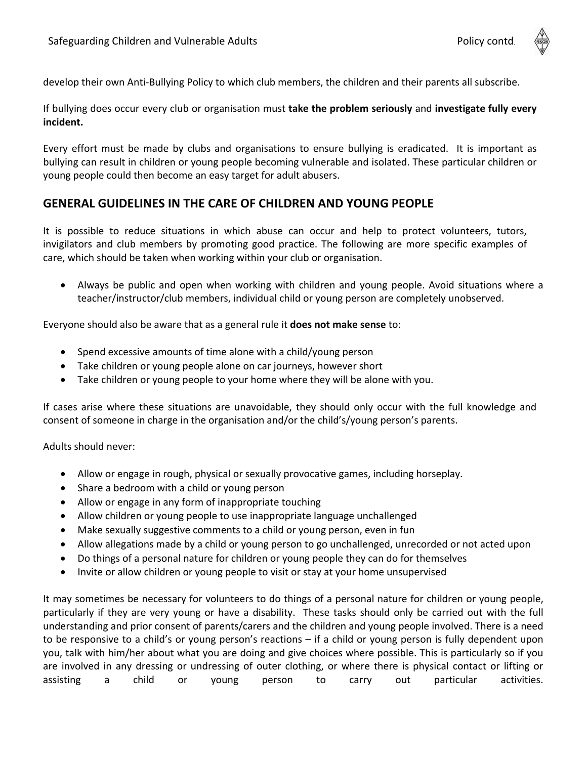

If bullying does occur every club or organisation must **take the problem seriously** and **investigate fully every incident.**

Every effort must be made by clubs and organisations to ensure bullying is eradicated. It is important as bullying can result in children or young people becoming vulnerable and isolated. These particular children or young people could then become an easy target for adult abusers.

#### **GENERAL GUIDELINES IN THE CARE OF CHILDREN AND YOUNG PEOPLE**

It is possible to reduce situations in which abuse can occur and help to protect volunteers, tutors, invigilators and club members by promoting good practice. The following are more specific examples of care, which should be taken when working within your club or organisation.

• Always be public and open when working with children and young people. Avoid situations where a teacher/instructor/club members, individual child or young person are completely unobserved.

Everyone should also be aware that as a general rule it **does not make sense** to:

- Spend excessive amounts of time alone with a child/young person
- Take children or young people alone on car journeys, however short
- Take children or young people to your home where they will be alone with you.

If cases arise where these situations are unavoidable, they should only occur with the full knowledge and consent of someone in charge in the organisation and/or the child's/young person's parents.

Adults should never:

- Allow or engage in rough, physical or sexually provocative games, including horseplay.
- Share a bedroom with a child or young person
- Allow or engage in any form of inappropriate touching
- Allow children or young people to use inappropriate language unchallenged
- Make sexually suggestive comments to a child or young person, even in fun
- Allow allegations made by a child or young person to go unchallenged, unrecorded or not acted upon
- Do things of a personal nature for children or young people they can do for themselves
- Invite or allow children or young people to visit or stay at your home unsupervised

It may sometimes be necessary for volunteers to do things of a personal nature for children or young people, particularly if they are very young or have a disability. These tasks should only be carried out with the full understanding and prior consent of parents/carers and the children and young people involved. There is a need to be responsive to a child's or young person's reactions – if a child or young person is fully dependent upon you, talk with him/her about what you are doing and give choices where possible. This is particularly so if you are involved in any dressing or undressing of outer clothing, or where there is physical contact or lifting or assisting a child or young person to carry out particular activities.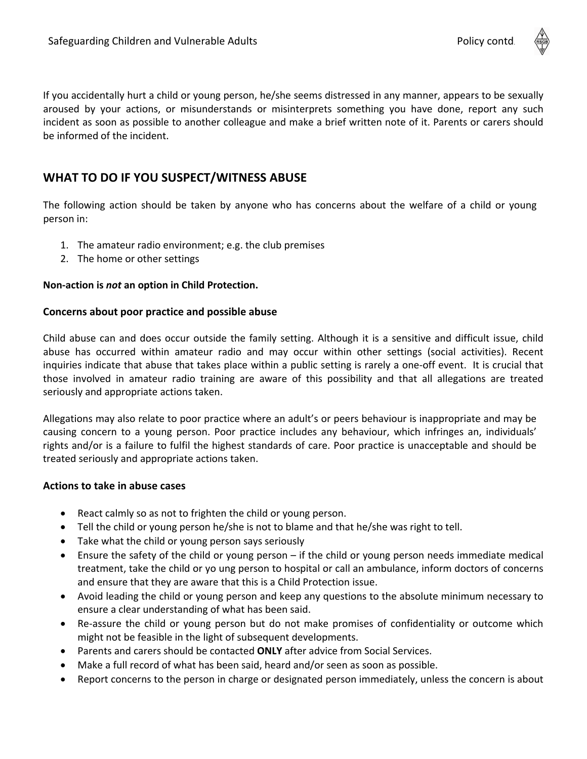

### **WHAT TO DO IF YOU SUSPECT/WITNESS ABUSE**

The following action should be taken by anyone who has concerns about the welfare of a child or young person in:

- 1. The amateur radio environment; e.g. the club premises
- 2. The home or other settings

be informed of the incident.

#### **Non‐action is** *not* **an option in Child Protection.**

#### **Concerns about poor practice and possible abuse**

Child abuse can and does occur outside the family setting. Although it is a sensitive and difficult issue, child abuse has occurred within amateur radio and may occur within other settings (social activities). Recent inquiries indicate that abuse that takes place within a public setting is rarely a one‐off event. It is crucial that those involved in amateur radio training are aware of this possibility and that all allegations are treated seriously and appropriate actions taken.

Allegations may also relate to poor practice where an adult's or peers behaviour is inappropriate and may be causing concern to a young person. Poor practice includes any behaviour, which infringes an, individuals' rights and/or is a failure to fulfil the highest standards of care. Poor practice is unacceptable and should be treated seriously and appropriate actions taken.

#### **Actions to take in abuse cases**

- React calmly so as not to frighten the child or young person.
- Tell the child or young person he/she is not to blame and that he/she was right to tell.
- Take what the child or young person says seriously
- Ensure the safety of the child or young person  $-$  if the child or young person needs immediate medical treatment, take the child or yo ung person to hospital or call an ambulance, inform doctors of concerns and ensure that they are aware that this is a Child Protection issue.
- Avoid leading the child or young person and keep any questions to the absolute minimum necessary to ensure a clear understanding of what has been said.
- Re-assure the child or young person but do not make promises of confidentiality or outcome which might not be feasible in the light of subsequent developments.
- Parents and carers should be contacted **ONLY** after advice from Social Services.
- Make a full record of what has been said, heard and/or seen as soon as possible.
- Report concerns to the person in charge or designated person immediately, unless the concern is about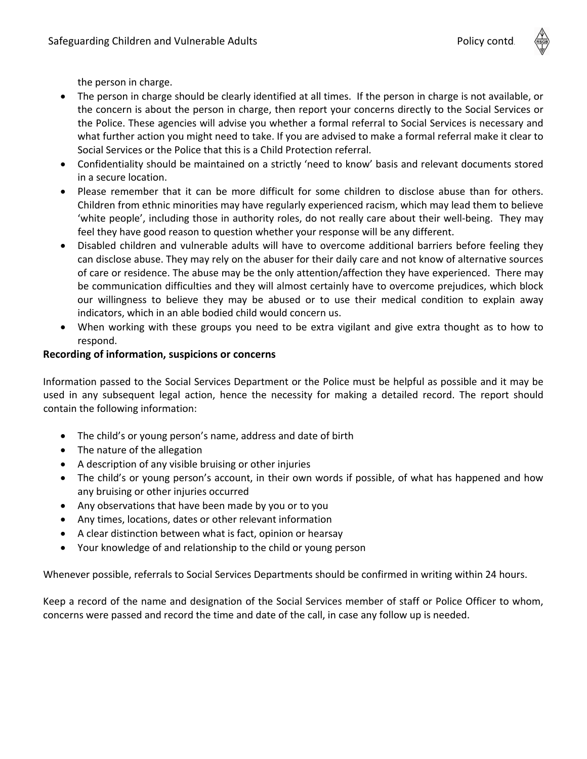the person in charge.

- The person in charge should be clearly identified at all times. If the person in charge is not available, or the concern is about the person in charge, then report your concerns directly to the Social Services or the Police. These agencies will advise you whether a formal referral to Social Services is necessary and what further action you might need to take. If you are advised to make a formal referral make it clear to Social Services or the Police that this is a Child Protection referral.
- Confidentiality should be maintained on a strictly 'need to know' basis and relevant documents stored in a secure location.
- Please remember that it can be more difficult for some children to disclose abuse than for others. Children from ethnic minorities may have regularly experienced racism, which may lead them to believe 'white people', including those in authority roles, do not really care about their well‐being. They may feel they have good reason to question whether your response will be any different.
- Disabled children and vulnerable adults will have to overcome additional barriers before feeling they can disclose abuse. They may rely on the abuser for their daily care and not know of alternative sources of care or residence. The abuse may be the only attention/affection they have experienced. There may be communication difficulties and they will almost certainly have to overcome prejudices, which block our willingness to believe they may be abused or to use their medical condition to explain away indicators, which in an able bodied child would concern us.
- When working with these groups you need to be extra vigilant and give extra thought as to how to respond.

#### **Recording of information, suspicions or concerns**

Information passed to the Social Services Department or the Police must be helpful as possible and it may be used in any subsequent legal action, hence the necessity for making a detailed record. The report should contain the following information:

- The child's or young person's name, address and date of birth
- The nature of the allegation
- A description of any visible bruising or other injuries
- The child's or young person's account, in their own words if possible, of what has happened and how any bruising or other injuries occurred
- Any observations that have been made by you or to you
- Any times, locations, dates or other relevant information
- A clear distinction between what is fact, opinion or hearsay
- Your knowledge of and relationship to the child or young person

Whenever possible, referrals to Social Services Departments should be confirmed in writing within 24 hours.

Keep a record of the name and designation of the Social Services member of staff or Police Officer to whom, concerns were passed and record the time and date of the call, in case any follow up is needed.